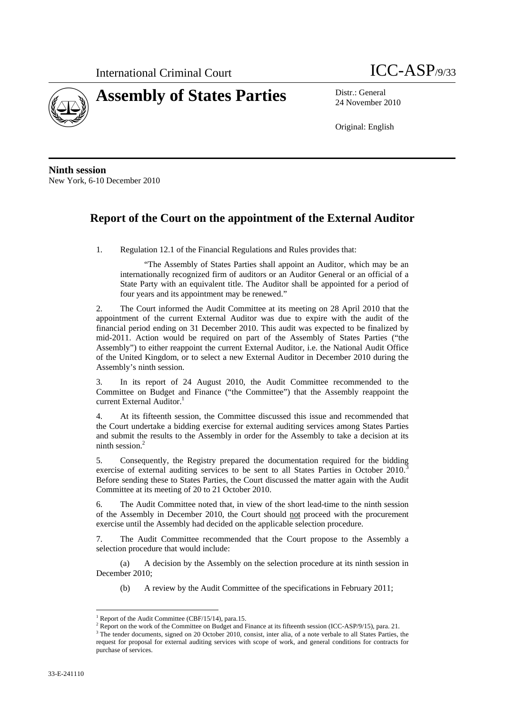



24 November 2010

Original: English

**Ninth session**  New York, 6-10 December 2010

## **Report of the Court on the appointment of the External Auditor**

1. Regulation 12.1 of the Financial Regulations and Rules provides that:

"The Assembly of States Parties shall appoint an Auditor, which may be an internationally recognized firm of auditors or an Auditor General or an official of a State Party with an equivalent title. The Auditor shall be appointed for a period of four years and its appointment may be renewed."

2. The Court informed the Audit Committee at its meeting on 28 April 2010 that the appointment of the current External Auditor was due to expire with the audit of the financial period ending on 31 December 2010. This audit was expected to be finalized by mid-2011. Action would be required on part of the Assembly of States Parties ("the Assembly") to either reappoint the current External Auditor, i.e. the National Audit Office of the United Kingdom, or to select a new External Auditor in December 2010 during the Assembly's ninth session.

3. In its report of 24 August 2010, the Audit Committee recommended to the Committee on Budget and Finance ("the Committee") that the Assembly reappoint the current External Auditor.<sup>1</sup>

4. At its fifteenth session, the Committee discussed this issue and recommended that the Court undertake a bidding exercise for external auditing services among States Parties and submit the results to the Assembly in order for the Assembly to take a decision at its ninth session.2

5. Consequently, the Registry prepared the documentation required for the bidding exercise of external auditing services to be sent to all States Parties in October 2010. Before sending these to States Parties, the Court discussed the matter again with the Audit Committee at its meeting of 20 to 21 October 2010.

6. The Audit Committee noted that, in view of the short lead-time to the ninth session of the Assembly in December 2010, the Court should not proceed with the procurement exercise until the Assembly had decided on the applicable selection procedure.

7. The Audit Committee recommended that the Court propose to the Assembly a selection procedure that would include:

(a) A decision by the Assembly on the selection procedure at its ninth session in December 2010;

(b) A review by the Audit Committee of the specifications in February 2011;

 $\overline{a}$ 

<sup>1</sup> Report of the Audit Committee (CBF/15/14), para.15.

<sup>&</sup>lt;sup>2</sup> Report on the work of the Committee on Budget and Finance at its fifteenth session (ICC-ASP/9/15), para. 21.  $\frac{3}{2}$  The tender decuments signed on 20 October 2010, consist inter slip of a note verbele to all States

<sup>&</sup>lt;sup>3</sup> The tender documents, signed on 20 October 2010, consist, inter alia, of a note verbale to all States Parties, the request for proposal for external auditing services with scope of work, and general conditions for contracts for purchase of services.